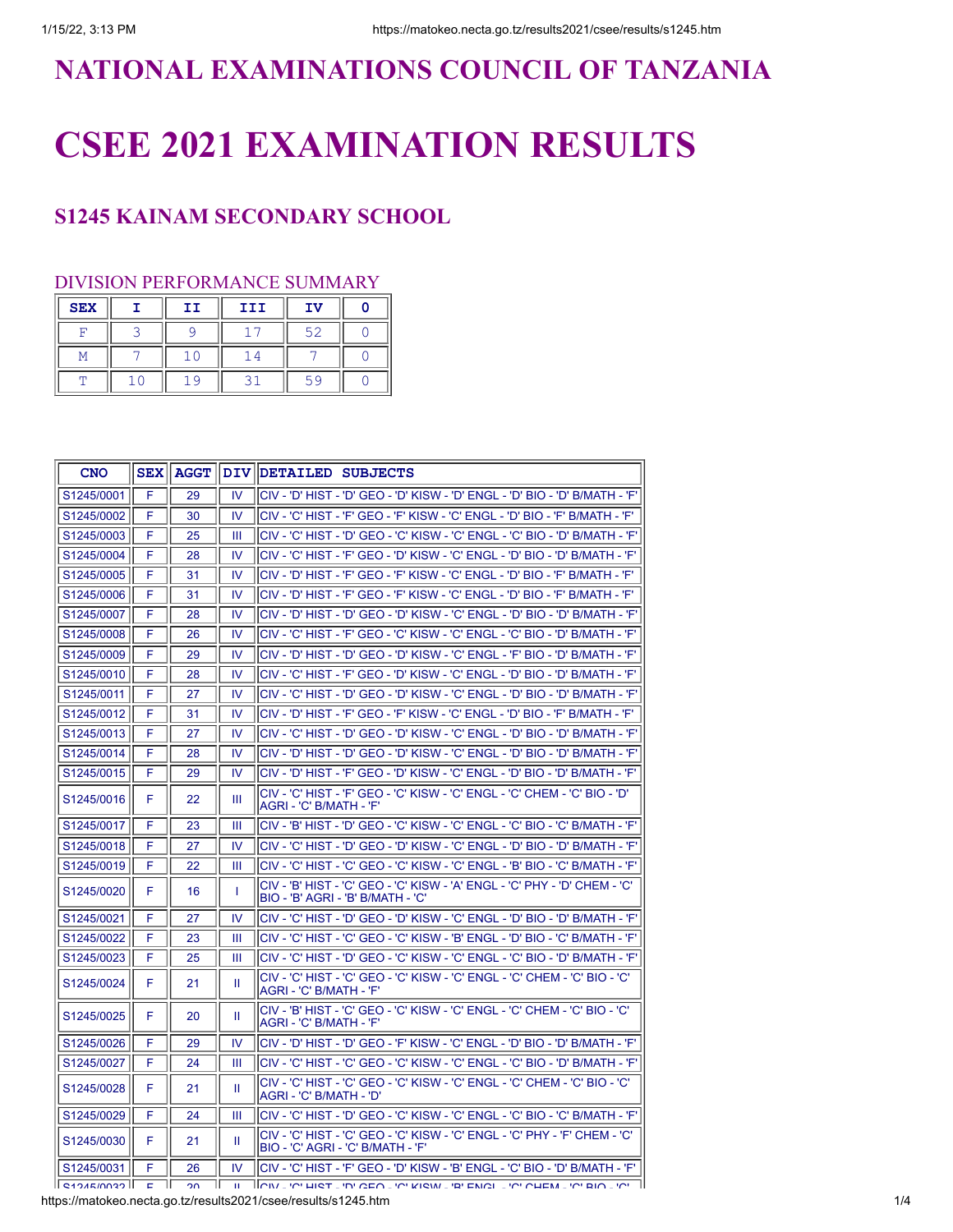## **NATIONAL EXAMINATIONS COUNCIL OF TANZANIA**

# **CSEE 2021 EXAMINATION RESULTS**

### **S1245 KAINAM SECONDARY SCHOOL**

#### DIVISION PERFORMANCE SUMMARY

| <b>SEX</b> | II | III | IV |  |
|------------|----|-----|----|--|
| ᠇          |    |     | 52 |  |
|            |    |     |    |  |
|            |    |     |    |  |

| <b>CNO</b>           |    | <b>SEX   AGGT</b> |               | DIV DETAILED SUBJECTS                                                                                            |
|----------------------|----|-------------------|---------------|------------------------------------------------------------------------------------------------------------------|
| S1245/0001           | F  | 29                | IV            | 'ENGL - 'D' HIST - 'D' GEO - 'D' KISW - 'D' ENGL - 'D' BIO - 'D' B/MATH - 'F'                                    |
| S1245/0002           | F  | 30                | IV            | ICIV - 'C' HIST - 'F' GEO - 'F' KISW - 'C' ENGL - 'D' BIO - 'F' B/MATH - 'F'                                     |
| S1245/0003           | F  | 25                | Ш             | lCIV - 'C' HIST - 'D' GEO - 'C' KISW - 'C' ENGL - 'C' BIO - 'D' B/MATH - 'F'                                     |
| S1245/0004           | F  | 28                | IV            | lCIV - 'С' HIST - 'F' GEO - 'D' KISW - 'С' ENGL - 'D' BIO - 'D' В/МАТН - 'F'                                     |
| S1245/0005           | F  | 31                | $\mathsf{IV}$ | CIV - 'D' HIST - 'F' GEO - 'F' KISW - 'C' ENGL - 'D' BIO - 'F' B/MATH - 'F'                                      |
| S1245/0006           | F  | 31                | IV            | lCIV - 'D' HIST - 'F' GEO - 'F' KISW - 'C' ENGL - 'D' BIO - 'F' B/MATH - 'F'                                     |
| S1245/0007           | F  | 28                | IV            | 'C' LNGL - 'D' HIST - 'D' GEO - 'D' KISW - 'C' ENGL - 'D' BIO - 'D' B/MATH - 'F'                                 |
| S1245/0008           | F  | 26                | <b>IV</b>     | lCIV - 'C' HIST - 'F' GEO - 'C' KISW - 'C' ENGL - 'C' BIO - 'D' B/MATH - 'F'                                     |
| S1245/0009           | F  | 29                | <b>IV</b>     | <sup> </sup> CIV - 'D' HIST - 'D' GEO - 'D' KISW - 'C' ENGL - 'F' BIO - 'D' B/MATH - 'F'                         |
| S1245/0010           | F  | 28                | IV            | CIV - 'С' HIST - 'F' GEO - 'D' KISW - 'С' ENGL - 'D' BIO - 'D' В/МАТН - 'F'                                      |
| S1245/0011           | F  | 27                | IV.           | ICIV - 'C' HIST - 'D' GEO - 'D' KISW - 'C' ENGL - 'D' BIO - 'D' B/MATH - 'F'                                     |
| S1245/0012           | F  | 31                | IV            | ICIV - 'D' HIST - 'F' GEO - 'F' KISW - 'C' ENGL - 'D' BIO - 'F' B/MATH - 'F'                                     |
| S1245/0013           | F  | 27                | 1V            | (CIV - 'C' HIST - 'D' GEO - 'D' KISW - 'C' ENGL - 'D' BIO - 'D' B/MATH - 'F                                      |
| S1245/0014           | F  | 28                | IV            | lCIV - 'D' HIST - 'D' GEO - 'D' KISW - 'C' ENGL - 'D' BIO - 'D' B/MATH - 'F'                                     |
| S1245/0015           | F  | 29                | IV            | (CIV - 'D' HIST - 'F' GEO - 'D' KISW - 'C' ENGL - 'D' BIO - 'D' B/MATH - 'F'                                     |
| S1245/0016           | F  | 22                | Ш             | lCIV - 'C' HIST - 'F' GEO - 'C' KISW - 'C' ENGL - 'C' CHEM - 'C' BIO - 'D'<br>IAGRI - 'C' B/MATH - 'F'           |
| S1245/0017           | F  | 23                | Ш             | lCIV - 'B' HIST - 'D' GEO - 'C' KISW - 'C' ENGL - 'C' BIO - 'C' B/MATH - 'F'                                     |
| S1245/0018           | F  | 27                | IV            | <sup>I</sup> CIV - 'C' HIST - 'D' GEO - 'D' KISW - 'C' ENGL - 'D' BIO - 'D' B/MATH - 'F'                         |
| S1245/0019           | F  | 22                | Ш             | lCIV - 'C' HIST - 'C' GEO - 'C' KISW - 'C' ENGL - 'B' BIO - 'C' B/MATH - 'F'                                     |
| S1245/0020           | F  | 16                | T             | ICIV - 'B' HIST - 'C' GEO - 'C' KISW - 'A' ENGL - 'C' PHY - 'D' CHEM - 'C'<br>BIO - 'B' AGRI - 'B' B/MATH - 'C'  |
| S1245/0021           | F  | 27                | $\mathsf{IV}$ | CIV - 'С' HIST - 'D' GEO - 'D' KISW - 'С' ENGL - 'D' BIO - 'D' В/МАТН - 'F'                                      |
| S1245/0022           | F  | 23                | Ш             | lCIV - 'C' HIST - 'C' GEO - 'C' KISW - 'B' ENGL - 'D' BIO - 'C' B/MATH - 'F'                                     |
| S1245/0023           | F  | 25                | Ш             | 'CIV - 'C' HIST - 'D' GEO - 'C' KISW - 'C' ENGL - 'C' BIO - 'D' B/MATH - 'F                                      |
| S1245/0024           | F  | 21                | Ш             | 'CIV - 'C' HIST - 'C' GEO - 'C' KISW - 'C' ENGL - 'C' CHEM - 'C' BIO - 'C'<br> AGRI - 'C' B/MATH - 'F'           |
| S1245/0025           | F  | 20                | Ш             | lCIV - 'B' HIST - 'C' GEO - 'C' KISW - 'C' ENGL - 'C' CHEM - 'C' BIO - 'C'<br>AGRI - 'C' B/MATH - 'F'            |
| S1245/0026           | F  | 29                | IV            | 'D' HIST - 'D' GEO - 'F' KISW - 'C' ENGL - 'D' BIO - 'D' B/MATH - 'F'                                            |
| S1245/0027           | F  | 24                | Ш             | lCIV - 'C' HIST - 'C' GEO - 'C' KISW - 'C' ENGL - 'C' BIO - 'D' B/MATH - 'F'                                     |
| S1245/0028           | F  | 21                | Ш             | lCIV - 'C' HIST - 'C' GEO - 'C' KISW - 'C' ENGL - 'C' CHEM - 'C' BIO - 'C'<br>IAGRI - 'C' B/MATH - 'D'           |
| S1245/0029           | F  | 24                | Ш             | lCIV - 'C' HIST - 'D' GEO - 'C' KISW - 'C' ENGL - 'C' BIO - 'C' B/MATH - 'F'                                     |
| S1245/0030           | F  | 21                | Ш             | lCIV - 'C' HIST - 'C' GEO - 'C' KISW - 'C' ENGL - 'C' PHY - 'F' CHEM - 'C'<br>IBIO - 'C' AGRI - 'C' B/MATH - 'F' |
| S1245/0031           | F  | 26                | IV            | CIV - 'C' HIST - 'F' GEO - 'D' KISW - 'B' ENGL - 'C' BIO - 'D' B/MATH - 'F'                                      |
| $\ $ s1245/0032 $\ $ | E. | 20                | $\mathbf{H}$  | ורוגן בירי אומוב יחי הבת בירי גופוא ביפי באתו בירי ראבא בירי מות בירי                                            |

https://matokeo.necta.go.tz/results2021/csee/results/s1245.htm 1/4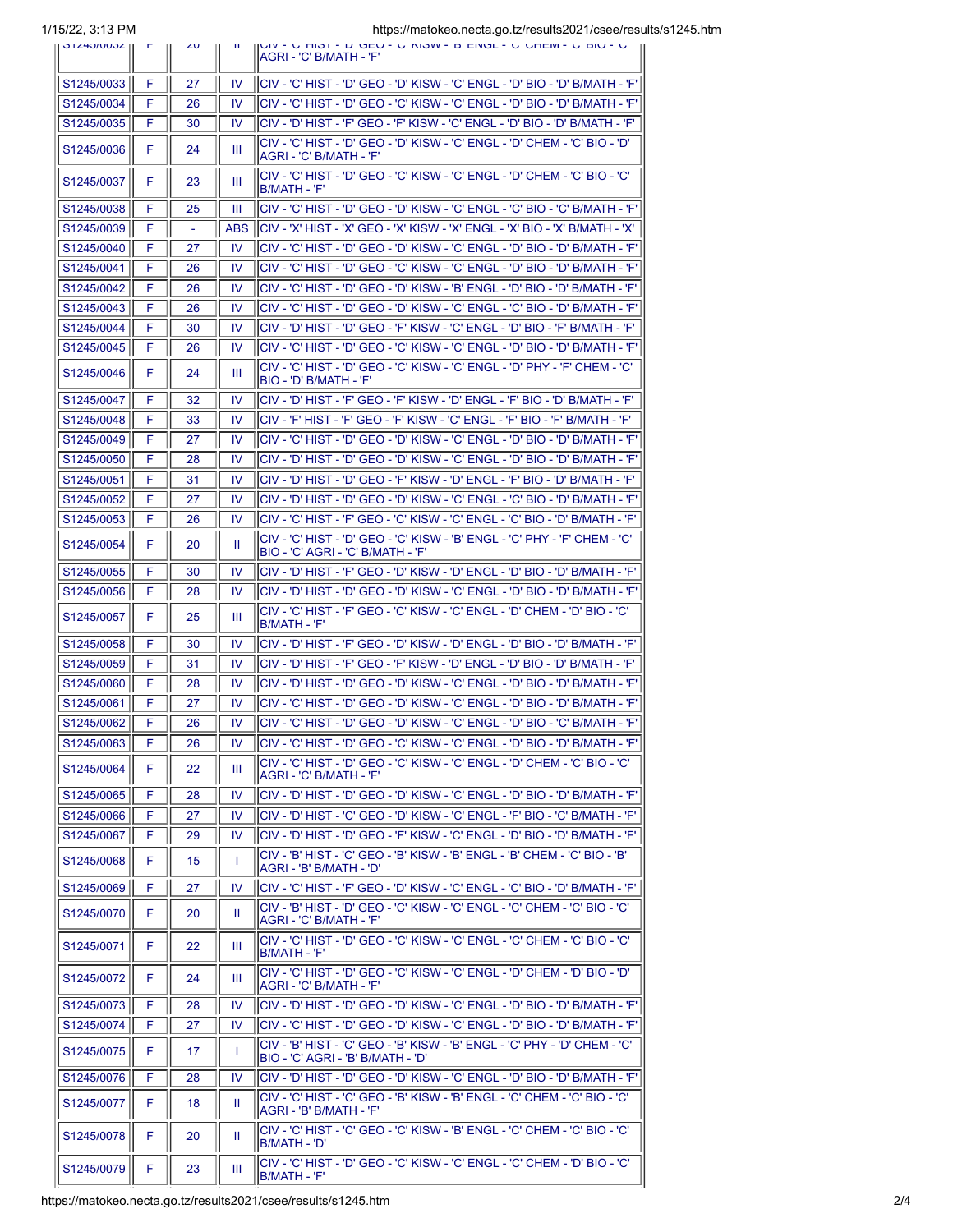1/15/22, 3:13 PM https://matokeo.necta.go.tz/results2021/csee/results/s1245.htm

| U IZHUIUUUZ II           | ויטונט, שבו טו | $\sim$ | - 11      | impo.iniq.com.com.com.com/usu/icodito2021/0300/icodit<br>(JUIV - U THUT - D OLU - U NIUW - D LIVOL - U UHLIW - U DIU - U<br>IAGRI - 'C' B/MATH - 'F'         |
|--------------------------|----------------|--------|-----------|--------------------------------------------------------------------------------------------------------------------------------------------------------------|
| S1245/0033               | F              | 27     | <b>IV</b> | (CIV - 'C' HIST - 'D' GEO - 'D' KISW - 'C' ENGL - 'D' BIO - 'D' B/MATH - 'F'                                                                                 |
| S1245/0034               | F              | 26     | IV        | ICIV - 'C' HIST - 'D' GEO - 'C' KISW - 'C' ENGL - 'D' BIO - 'D' B/MATH - 'F'                                                                                 |
| S1245/0035               | F              | 30     | <b>IV</b> | CIV - 'D' HIST - 'F' GEO - 'F' KISW - 'C' ENGL - 'D' BIO - 'D' В/МАТН - 'F'                                                                                  |
| S1245/0036               | F              | 24     | Ш         | 'CIV - 'C' HIST - 'D' GEO - 'D' KISW - 'C' ENGL - 'D' CHEM - 'C' BIO - 'D<br>AGRI - 'C' B/MATH - 'F'                                                         |
| S1245/0037               | F              | 23     | Ш         | 'CIV - 'C' HIST - 'D' GEO - 'C' KISW - 'C' ENGL - 'D' CHEM - 'C' BIO - 'C<br>B/MATH - 'F'                                                                    |
|                          |                |        |           |                                                                                                                                                              |
| S1245/0038               | F              | 25     | Ш         | CIV - 'С' HIST - 'D' GEO - 'D' KISW - 'С' ENGL - 'С' ВІО - 'С' В/МАТН - 'F'                                                                                  |
| S1245/0039               | F              |        | ABS       | İCIV - 'X' HIST - 'X' GEO - 'X' KISW - 'X' ENGL - 'X' BIO - 'X' B/MATH - 'X'                                                                                 |
| S1245/0040               | F              | 27     | IV.       | 'CIV - 'C' HIST - 'D' GEO - 'D' KISW - 'C' ENGL - 'D' BIO - 'D' B/MATH - 'F                                                                                  |
| S1245/0041               | F              | 26     | 1V        | 'CIV - 'C' HIST - 'D' GEO - 'C' KISW - 'C' ENGL - 'D' BIO - 'D' B/MATH - 'F                                                                                  |
| S1245/0042<br>S1245/0043 | F<br>F         | 26     | IV<br>IV  | ICIV - 'C' HIST - 'D' GEO - 'D' KISW - 'B' ENGL - 'D' BIO - 'D' B/MATH - 'F'<br>ICIV - 'C' HIST - 'D' GEO - 'D' KISW - 'C' ENGL - 'C' BIO - 'D' B/MATH - 'F' |
| S1245/0044               | F              | 26     |           | CIV - 'D' HIST - 'D' GEO - 'F' KISW - 'C' ENGL - 'D' BIO - 'F' B/MATH - 'F'                                                                                  |
|                          | F              | 30     | IV        |                                                                                                                                                              |
| S1245/0045               |                | 26     | <b>IV</b> | ICIV - 'C' HIST - 'D' GEO - 'C' KISW - 'C' ENGL - 'D' BIO - 'D' B/MATH - 'F'<br>CIV - 'C' HIST - 'D' GEO - 'C' KISW - 'C' ENGL - 'D' PHY - 'F' CHEM - 'C'    |
| S1245/0046               | F              | 24     | Ш         | BIO - 'D' B/MATH - 'F'                                                                                                                                       |
| S1245/0047               | F              | 32     | IV        | ICIV - 'D' HIST - 'F' GEO - 'F' KISW - 'D' ENGL - 'F' BIO - 'D' B/MATH - 'F'                                                                                 |
| S1245/0048               | F              | 33     | IV        | CIV - 'F' HIST - 'F' GEO - 'F' KISW - 'C' ENGL - 'F' BIO - 'F' B/MATH - 'F'                                                                                  |
| S1245/0049               | F              | 27     | IV        | <sup>I</sup> CIV - 'C' HIST - 'D' GEO - 'D' KISW - 'C' ENGL - 'D' BIO - 'D' B/MATH - 'F'                                                                     |
| S1245/0050               | F              | 28     | <b>IV</b> | (CIV - 'D' HIST - 'D' GEO - 'D' KISW - 'C' ENGL - 'D' BIO - 'D' B/MATH - 'F'                                                                                 |
| S1245/0051               | F              | 31     | IV        | (CIV - 'D' HIST - 'D' GEO - 'F' KISW - 'D' ENGL - 'F' BIO - 'D' B/MATH - 'F'                                                                                 |
| S1245/0052               | F              | 27     | 1V        | (CIV - 'D' HIST - 'D' GEO - 'D' KISW - 'C' ENGL - 'C' BIO - 'D' B/MATH - 'F                                                                                  |
| S1245/0053               | F              | 26     | IV        | CIV - 'C' HIST - 'F' GEO - 'C' KISW - 'C' ENGL - 'C' BIO - 'D' B/MATH - 'F'                                                                                  |
| S1245/0054               | F              | 20     | Ш         | CIV - 'C' HIST - 'D' GEO - 'C' KISW - 'B' ENGL - 'C' PHY - 'F' CHEM - 'C'<br>IBIO - 'C' AGRI - 'C' B/MATH - 'F'                                              |
| S1245/0055               | F              | 30     | <b>IV</b> | (CIV - 'D' HIST - 'F' GEO - 'D' KISW - 'D' ENGL - 'D' BIO - 'D' B/MATH - 'F'                                                                                 |
| S1245/0056               | F              | 28     | IV        | (CIV - 'D' HIST - 'D' GEO - 'D' KISW - 'C' ENGL - 'D' BIO - 'D' B/MATH - 'F'                                                                                 |
| S1245/0057               | F              | 25     | Ш         | CIV - 'C' HIST - 'F' GEO - 'C' KISW - 'C' ENGL - 'D' CHEM - 'D' BIO - 'C'<br>IB/MATH - 'F'                                                                   |
| S1245/0058               | F              | 30     | IV        | (CIV - 'D' HIST - 'F' GEO - 'D' KISW - 'D' ENGL - 'D' BIO - 'D' B/MATH - 'F'                                                                                 |
| S1245/0059               | F              | 31     | IV        | (CIV - 'D' HIST - 'F' GEO - 'F' KISW - 'D' ENGL - 'D' BIO - 'D' B/MATH - 'F'                                                                                 |
| S1245/0060               | F              | 28     | IV        | (CIV - 'D' HIST - 'D' GEO - 'D' KISW - 'C' ENGL - 'D' BIO - 'D' B/MATH - 'F'                                                                                 |
| S1245/0061               | F              | 27     | IV        | lCIV - 'C' HIST - 'D' GEO - 'D' KISW - 'C' ENGL - 'D' BIO - 'D' В/МАТН - 'F'                                                                                 |
| S1245/0062               | F              | 26     | <b>IV</b> | CIV - 'C' HIST - 'D' GEO - 'D' KISW - 'C' ENGL - 'D' BIO - 'C' В/МАТН - 'F'                                                                                  |
| S1245/0063               | F.             | 26     | IV.       | lCIV - 'C' HIST - 'D' GEO - 'C' KISW - 'C' ENGL - 'D' BIO - 'D' B/MATH - 'F' l                                                                               |
| S1245/0064               | F              | 22     | Ш         | ICIV - 'C' HIST - 'D' GEO - 'C' KISW - 'C' ENGL - 'D' CHEM - 'C' BIO - 'C'<br> AGRI - 'C' B/MATH - 'F'                                                       |
| S1245/0065               | F              | 28     | IV.       | lciv - 'D' Hist - 'D' Geo - 'D' Kisw - 'C' Engl - 'D' Bio - 'D' B/MATH - 'F'                                                                                 |
| S1245/0066               | F              | 27     | IV        | CIV - 'D' HIST - 'C' GEO - 'D' KISW - 'C' ENGL - 'F' BIO - 'C' В/МАТН - 'F'                                                                                  |
| S1245/0067               | F              | 29     | <b>IV</b> | lCIV - 'D' HIST - 'D' GEO - 'F' KISW - 'C' ENGL - 'D' BIO - 'D' B/MATH - 'F'                                                                                 |
| S1245/0068               | F              | 15     | T         | CIV - 'B' HIST - 'C' GEO - 'B' KISW - 'B' ENGL - 'B' CHEM - 'C' BIO - 'B'<br>IAGRI - 'B' B/MATH - 'D'                                                        |
| S1245/0069               | F              | 27     | IV        | CIV - 'С' HIST - 'F' GEO - 'D' KISW - 'С' ENGL - 'С' ВІО - 'D' В/МАТН - 'F'                                                                                  |
| S1245/0070               | F              | 20     | Ш         | CIV - 'B' HIST - 'D' GEO - 'C' KISW - 'C' ENGL - 'C' CHEM - 'C' BIO - 'C'<br>AGRI - 'C' B/MATH - 'F'                                                         |
| S1245/0071               | F              | 22     | Ш         | lCIV - 'C' HIST - 'D' GEO - 'C' KISW - 'C' ENGL - 'C' CHEM - 'C' BIO - 'C'<br> B/MATH - 'F'                                                                  |
| S1245/0072               | F              | 24     | Ш         | ICIV - 'C' HIST - 'D' GEO - 'C' KISW - 'C' ENGL - 'D' CHEM - 'D' BIO - 'D'<br> AGRI - 'C' B/MATH - 'F'                                                       |
| S1245/0073               | F              | 28     | IV        | CIV - 'D' HIST - 'D' GEO - 'D' KISW - 'C' ENGL - 'D' BIO - 'D' B/MATH - 'F'                                                                                  |
| S1245/0074               | F              | 27     | IV        | CIV - 'C' HIST - 'D' GEO - 'D' KISW - 'C' ENGL - 'D' BIO - 'D' B/MATH - 'F'                                                                                  |
| S1245/0075               | F              | 17     | T         | CIV - 'B' HIST - 'C' GEO - 'B' KISW - 'B' ENGL - 'C' PHY - 'D' CHEM - 'C'<br>BIO - 'C' AGRI - 'B' B/MATH - 'D'                                               |
| S1245/0076               | F              | 28     | IV        | (CIV - 'D' HIST - 'D' GEO - 'D' KISW - 'C' ENGL - 'D' BIO - 'D' B/MATH - 'F'                                                                                 |
| S1245/0077               | F              | 18     | Ш         | CIV - 'C' HIST - 'C' GEO - 'B' KISW - 'B' ENGL - 'C' CHEM - 'C' BIO - 'C'                                                                                    |
|                          |                |        |           | AGRI - 'B' B/MATH - 'F'<br>'CIV - 'C' HIST - 'C' GEO - 'C' KISW - 'B' ENGL - 'C' CHEM - 'C' BIO - 'C'                                                        |
| S1245/0078               | F              | 20     | Ш         | IB/MATH - 'D'<br>'CIV - 'C' HIST - 'D' GEO - 'C' KISW - 'C' ENGL - 'C' CHEM - 'D' BIO - 'C                                                                   |
| S1245/0079               | F              | 23     | Ш         | B/MATH - 'F'                                                                                                                                                 |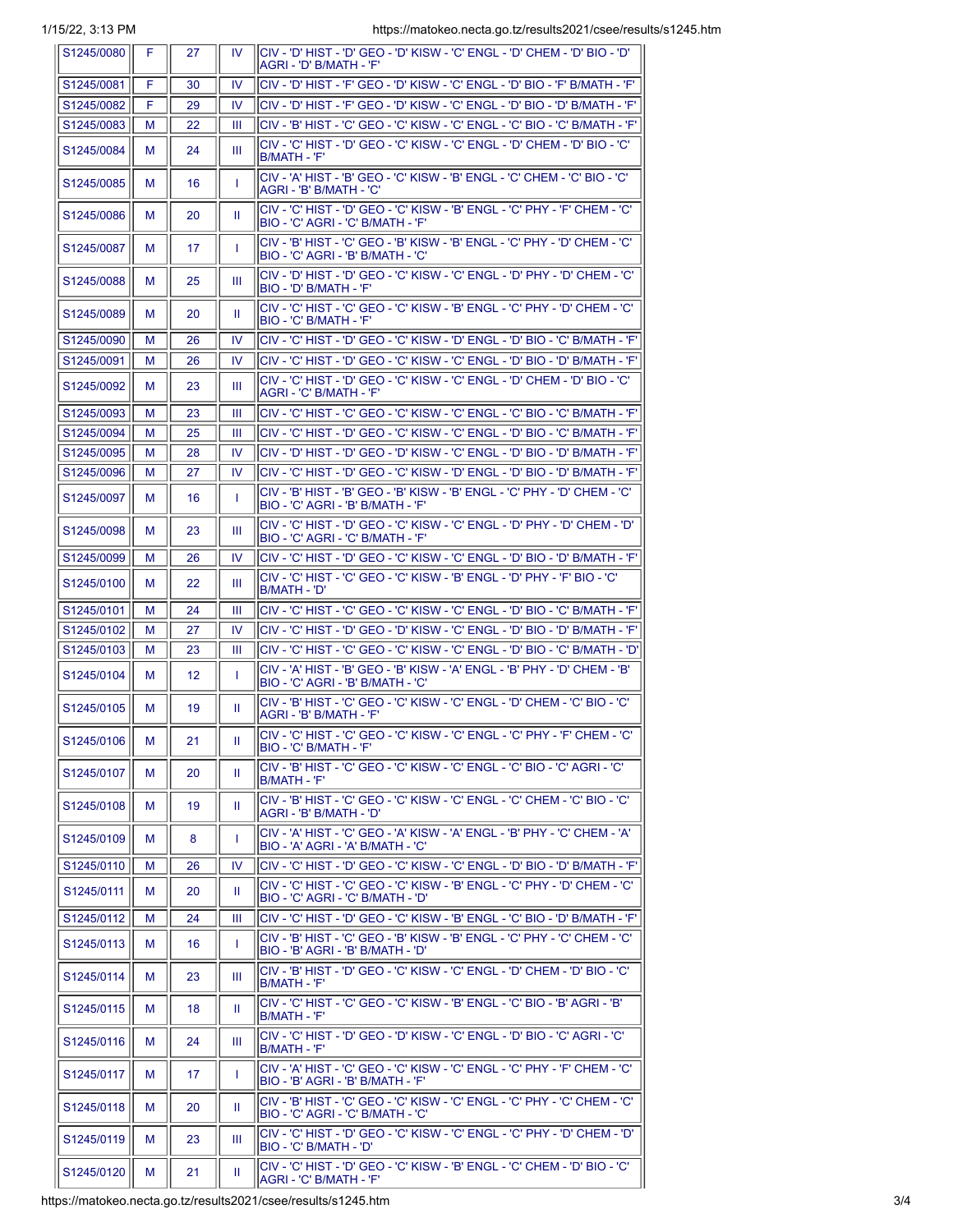| S1245/0080 | -F. | 27              |              | IV   CIV - 'D' HIST - 'D' GEO - 'D' KISW - 'C' ENGL - 'D' CHEM - 'D' BIO - 'D'<br>IAGRI - 'D' B/MATH - 'F'                  |
|------------|-----|-----------------|--------------|-----------------------------------------------------------------------------------------------------------------------------|
| S1245/0081 | F   | 30              | IV           | CIV - 'D' HIST - 'F' GEO - 'D' KISW - 'C' ENGL - 'D' BIO - 'F' В/МАТН - 'F'                                                 |
| S1245/0082 | F   | 29              | IV           | lCIV - 'D' HIST - 'F' GEO - 'D' KISW - 'C' ENGL - 'D' BIO - 'D' B/MATH - 'F'                                                |
| S1245/0083 | м   | 22              | Ш            | lCIV - 'B' HIST - 'C' GEO - 'C' KISW - 'C' ENGL - 'C' BIO - 'C' B/MATH - 'F'                                                |
| S1245/0084 | м   | 24              | Ш            | 'CIV - 'C' HIST - 'D' GEO - 'C' KISW - 'C' ENGL - 'D' CHEM - 'D' BIO - 'C<br>IB/MATH - 'F'                                  |
| S1245/0085 | м   | 16              | $\mathbf{I}$ | 'CIV - 'A' HIST - 'B' GEO - 'C' KISW - 'B' ENGL - 'C' CHEM - 'C' BIO - 'C'<br> AGRI - 'B' B/MATH - 'C'                      |
| S1245/0086 | м   | 20              | Ш            | lCIV - 'C' HIST - 'D' GEO - 'C' KISW - 'B' ENGL - 'C' PHY - 'F' CHEM - 'C'<br>BIO - 'C' AGRI - 'C' B/MATH - 'F'             |
| S1245/0087 | м   | 17              | $\mathbf{I}$ | ICIV - 'B' HIST - 'C' GEO - 'B' KISW - 'B' ENGL - 'C' PHY - 'D' CHEM - 'C'<br>BIO - 'C' AGRI - 'B' B/MATH - 'C'             |
| S1245/0088 | м   | 25              | Ш            | 'C'V - 'D' HIST - 'D' GEO - 'C' KISW - 'C' ENGL - 'D' PHY - 'D' CHEM - 'C<br>BIO - 'D' B/MATH - 'F'                         |
| S1245/0089 | м   | 20              | Ш            | lCIV - 'C' HIST - 'C' GEO - 'C' KISW - 'B' ENGL - 'C' PHY - 'D' CHEM - 'C'<br> BIO - 'C' B/MATH - 'F'                       |
| S1245/0090 | м   | 26              | IV           | lCIV - 'C' HIST - 'D' GEO - 'C' KISW - 'D' ENGL - 'D' BIO - 'C' B/MATH - 'F'                                                |
| S1245/0091 | м   | 26              | IV           | 'CIV - 'C' HIST - 'D' GEO - 'C' KISW - 'C' ENGL - 'D' BIO - 'D' B/MATH - 'F                                                 |
| S1245/0092 | м   | 23              | Ш            | 'CIV - 'C' HIST - 'D' GEO - 'C' KISW - 'C' ENGL - 'D' CHEM - 'D' BIO - 'C<br> AGRI - 'C' B/MATH - 'F'                       |
| S1245/0093 | м   | 23              | Ш            | lCIV - 'C' HIST - 'C' GEO - 'C' KISW - 'C' ENGL - 'C' BIO - 'C' B/MATH - 'F'                                                |
| S1245/0094 | м   | 25              | Ш            | lCIV - 'C' HIST - 'D' GEO - 'C' KISW - 'C' ENGL - 'D' BIO - 'C' B/MATH - 'F'                                                |
| S1245/0095 | м   | 28              | IV           | (CIV - 'D' HIST - 'D' GEO - 'D' KISW - 'C' ENGL - 'D' BIO - 'D' B/MATH - 'F'                                                |
| S1245/0096 | м   | 27              | 1V           | 'CIV - 'C' HIST - 'D' GEO - 'C' KISW - 'D' ENGL - 'D' BIO - 'D' B/MATH - 'F                                                 |
| S1245/0097 | м   | 16              | $\mathbf{I}$ | lCIV - 'B' HIST - 'B' GEO - 'B' KISW - 'B' ENGL - 'C' PHY - 'D' CHEM - 'C'<br>BIO - 'C' AGRI - 'B' B/MATH - 'F'             |
| S1245/0098 | м   | 23              | Ш            | ICIV - 'C' HIST - 'D' GEO - 'C' KISW - 'C' ENGL - 'D' PHY - 'D' CHEM - 'D'<br> BIO - 'C' AGRI - 'C' B/MATH - 'F'            |
| S1245/0099 | м   | 26              | IV           | 'CIV - 'C' HIST - 'D' GEO - 'C' KISW - 'C' ENGL - 'D' BIO - 'D' B/MATH - 'F                                                 |
| S1245/0100 | м   | 22              | Ш            | 'CIV - 'C' HIST - 'C' GEO - 'C' KISW - 'B' ENGL - 'D' PHY - 'F' BIO - 'C'<br>IB/MATH - 'D'                                  |
| S1245/0101 | м   | 24              | Ш            | lCIV - 'C' HIST - 'C' GEO - 'C' KISW - 'C' ENGL - 'D' BIO - 'C' B/MATH - 'F'                                                |
| S1245/0102 | м   | 27              | IV           | 'CIV - 'C' HIST - 'D' GEO - 'D' KISW - 'C' ENGL - 'D' BIO - 'D' B/MATH - 'F                                                 |
| S1245/0103 | м   | 23              | Ш            | 'CIV - 'C' HIST - 'C' GEO - 'C' KISW - 'C' ENGL - 'D' BIO - 'C' B/MATH - 'D                                                 |
| S1245/0104 | м   | 12 <sup>°</sup> | т.           | 'CIV - 'A' HIST - 'B' GEO - 'B' KISW - 'A' ENGL - 'B' PHY - 'D' CHEM - 'B                                                   |
| S1245/0105 | м   | 19              | Ш            | BIO - 'C' AGRI - 'B' B/MATH - 'C'<br><sup> </sup> CIV - 'B' HIST - 'C' GEO - 'C' KISW - 'C' ENGL - 'D' CHEM - 'C' BIO - 'C' |
| S1245/0106 | M   | 21              | H.           | AGRI - 'B' B/MATH - 'F'<br>CIV - 'C' HIST - 'C' GEO - 'C' KISW - 'C' ENGL - 'C' PHY - 'F' CHEM - 'C'                        |
|            |     |                 |              | <b>BIO - 'C' B/MATH - 'F'</b>                                                                                               |
| S1245/0107 | м   | 20              | Ш            | ICIV - 'B' HIST - 'C' GEO - 'C' KISW - 'C' ENGL - 'C' BIO - 'C' AGRI - 'C'<br>B/MATH - 'F'                                  |
| S1245/0108 | м   | 19              | Ш.           | lCIV - 'B' HIST - 'C' GEO - 'C' KISW - 'C' ENGL - 'C' CHEM - 'C' BIO - 'C'<br>AGRI - 'B' B/MATH - 'D'                       |
| S1245/0109 | м   | 8               | T            | İCIV - 'A' HIST - 'C' GEO - 'A' KISW - 'A' ENGL - 'B' PHY - 'C' CHEM - 'A'<br>BIO - 'A' AGRI - 'A' B/MATH - 'C'             |
| S1245/0110 | М   | 26              | IV           | lCIV - 'C' HIST - 'D' GEO - 'C' KISW - 'C' ENGL - 'D' BIO - 'D' В/МАТН - 'F'                                                |
| S1245/0111 | м   | 20              | H.           | CIV - 'C' HIST - 'C' GEO - 'C' KISW - 'B' ENGL - 'C' PHY - 'D' CHEM - 'C'<br><sup>I</sup> BIO - 'C' AGRI - 'C' B/MATH - 'D' |
| S1245/0112 | м   | 24              | Ш            | 'CIV - 'C' HIST - 'D' GEO - 'C' KISW - 'B' ENGL - 'C' BIO - 'D' B/MATH - 'F                                                 |
| S1245/0113 | м   | 16              | $\mathbf{I}$ | lCIV - 'B' HIST - 'C' GEO - 'B' KISW - 'B' ENGL - 'C' PHY - 'C' CHEM - 'C'<br>IBIO - 'B' AGRI - 'B' B/MATH - 'D'            |
| S1245/0114 | м   | 23              | Ш            | 'CIV - 'B' HIST - 'D' GEO - 'C' KISW - 'C' ENGL - 'D' CHEM - 'D' BIO - 'C<br>B/MATH - 'F'                                   |
| S1245/0115 | м   | 18              | Ш            | lCIV - 'C' HIST - 'C' GEO - 'C' KISW - 'B' ENGL - 'C' BIO - 'B' AGRI - 'B'<br>IB/MATH - 'F'                                 |
| S1245/0116 | м   | 24              | Ш            | lCIV - 'C' HIST - 'D' GEO - 'D' KISW - 'C' ENGL - 'D' BIO - 'C' AGRI - 'C'<br>B/MATH - 'F'                                  |
| S1245/0117 | м   | 17              | $\mathbf{I}$ | lCIV - 'A' HIST - 'C' GEO - 'C' KISW - 'C' ENGL - 'C' PHY - 'F' CHEM - 'C'<br>BIO - 'B' AGRI - 'B' B/MATH - 'F'             |
| S1245/0118 | м   | 20              | Ш            | lCIV - 'B' HIST - 'C' GEO - 'C' KISW - 'C' ENGL - 'C' PHY - 'C' CHEM - 'C'<br>BIO - 'C' AGRI - 'C' B/MATH - 'C'             |
| S1245/0119 | м   | 23              | Ш            | ICIV - 'C' HIST - 'D' GEO - 'C' KISW - 'C' ENGL - 'C' PHY - 'D' CHEM - 'D'<br>IBIO - 'C' B/MATH - 'D'                       |
| S1245/0120 | м   | 21              | H.           | lCIV - 'C' HIST - 'D' GEO - 'C' KISW - 'B' ENGL - 'C' CHEM - 'D' BIO - 'C'<br>AGRI - 'C' B/MATH - 'F'                       |

https://matokeo.necta.go.tz/results2021/csee/results/s1245.htm 3/4